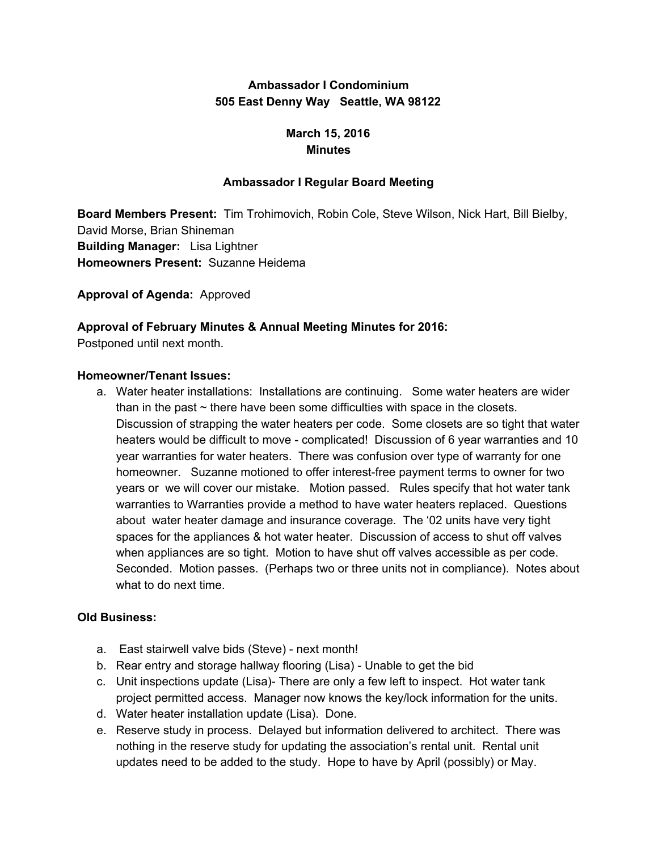# **Ambassador I Condominium 505 East Denny Way Seattle, WA 98122**

# **March 15, 2016 Minutes**

## **Ambassador I Regular Board Meeting**

**Board Members Present:** Tim Trohimovich, Robin Cole, Steve Wilson, Nick Hart, Bill Bielby, David Morse, Brian Shineman **Building Manager:** Lisa Lightner **Homeowners Present:** Suzanne Heidema

**Approval of Agenda:** Approved

## **Approval of February Minutes & Annual Meeting Minutes for 2016:**

Postponed until next month.

#### **Homeowner/Tenant Issues:**

a. Water heater installations: Installations are continuing. Some water heaters are wider than in the past  $\sim$  there have been some difficulties with space in the closets. Discussion of strapping the water heaters per code. Some closets are so tight that water heaters would be difficult to move - complicated! Discussion of 6 year warranties and 10 year warranties for water heaters. There was confusion over type of warranty for one homeowner. Suzanne motioned to offer interest-free payment terms to owner for two years or we will cover our mistake. Motion passed. Rules specify that hot water tank warranties to Warranties provide a method to have water heaters replaced. Questions about water heater damage and insurance coverage. The '02 units have very tight spaces for the appliances & hot water heater. Discussion of access to shut off valves when appliances are so tight. Motion to have shut off valves accessible as per code. Seconded. Motion passes. (Perhaps two or three units not in compliance). Notes about what to do next time.

## **Old Business:**

- a. East stairwell valve bids (Steve) next month!
- b. Rear entry and storage hallway flooring (Lisa) Unable to get the bid
- c. Unit inspections update (Lisa)- There are only a few left to inspect. Hot water tank project permitted access. Manager now knows the key/lock information for the units.
- d. Water heater installation update (Lisa). Done.
- e. Reserve study in process. Delayed but information delivered to architect. There was nothing in the reserve study for updating the association's rental unit. Rental unit updates need to be added to the study. Hope to have by April (possibly) or May.